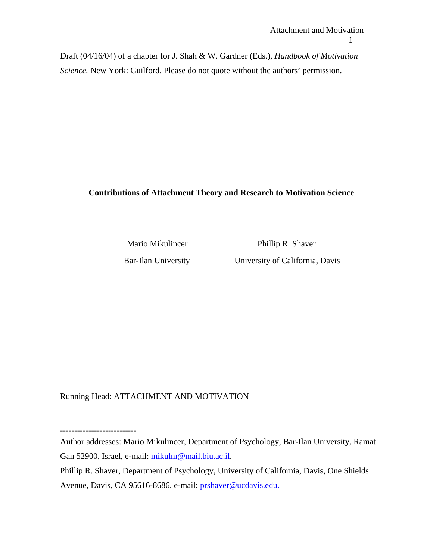Draft (04/16/04) of a chapter for J. Shah & W. Gardner (Eds.), *Handbook of Motivation Science.* New York: Guilford. Please do not quote without the authors' permission.

# **Contributions of Attachment Theory and Research to Motivation Science**

Mario Mikulincer Phillip R. Shaver Bar-Ilan University University of California, Davis

Running Head: ATTACHMENT AND MOTIVATION

*---------------------------* 

Author addresses: Mario Mikulincer, Department of Psychology, Bar-Ilan University, Ramat Gan 52900, Israel, e-mail: [mikulm@mail.biu.ac.il](mailto:mikulm@mail.biu.ac.il).

Phillip R. Shaver, Department of Psychology, University of California, Davis, One Shields Avenue, Davis, CA 95616-8686, e-mail: [prshaver@ucdavis.edu](mailto:prshaver@ucdavis.edu).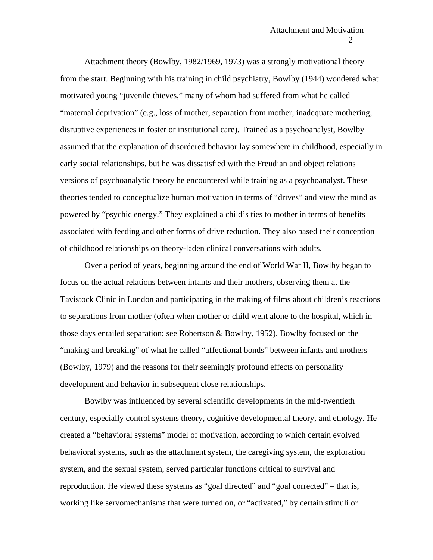Attachment theory (Bowlby, 1982/1969, 1973) was a strongly motivational theory from the start. Beginning with his training in child psychiatry, Bowlby (1944) wondered what motivated young "juvenile thieves," many of whom had suffered from what he called "maternal deprivation" (e.g., loss of mother, separation from mother, inadequate mothering, disruptive experiences in foster or institutional care). Trained as a psychoanalyst, Bowlby assumed that the explanation of disordered behavior lay somewhere in childhood, especially in early social relationships, but he was dissatisfied with the Freudian and object relations versions of psychoanalytic theory he encountered while training as a psychoanalyst. These theories tended to conceptualize human motivation in terms of "drives" and view the mind as powered by "psychic energy." They explained a child's ties to mother in terms of benefits associated with feeding and other forms of drive reduction. They also based their conception of childhood relationships on theory-laden clinical conversations with adults.

Over a period of years, beginning around the end of World War II, Bowlby began to focus on the actual relations between infants and their mothers, observing them at the Tavistock Clinic in London and participating in the making of films about children's reactions to separations from mother (often when mother or child went alone to the hospital, which in those days entailed separation; see Robertson & Bowlby, 1952). Bowlby focused on the "making and breaking" of what he called "affectional bonds" between infants and mothers (Bowlby, 1979) and the reasons for their seemingly profound effects on personality development and behavior in subsequent close relationships.

Bowlby was influenced by several scientific developments in the mid-twentieth century, especially control systems theory, cognitive developmental theory, and ethology. He created a "behavioral systems" model of motivation, according to which certain evolved behavioral systems, such as the attachment system, the caregiving system, the exploration system, and the sexual system, served particular functions critical to survival and reproduction. He viewed these systems as "goal directed" and "goal corrected" – that is, working like servomechanisms that were turned on, or "activated," by certain stimuli or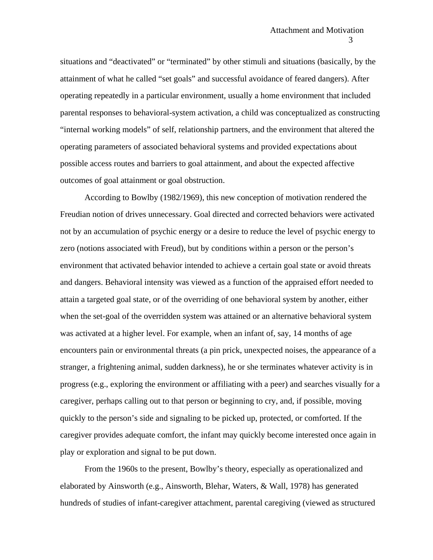situations and "deactivated" or "terminated" by other stimuli and situations (basically, by the attainment of what he called "set goals" and successful avoidance of feared dangers). After operating repeatedly in a particular environment, usually a home environment that included parental responses to behavioral-system activation, a child was conceptualized as constructing "internal working models" of self, relationship partners, and the environment that altered the operating parameters of associated behavioral systems and provided expectations about possible access routes and barriers to goal attainment, and about the expected affective outcomes of goal attainment or goal obstruction.

According to Bowlby (1982/1969), this new conception of motivation rendered the Freudian notion of drives unnecessary. Goal directed and corrected behaviors were activated not by an accumulation of psychic energy or a desire to reduce the level of psychic energy to zero (notions associated with Freud), but by conditions within a person or the person's environment that activated behavior intended to achieve a certain goal state or avoid threats and dangers. Behavioral intensity was viewed as a function of the appraised effort needed to attain a targeted goal state, or of the overriding of one behavioral system by another, either when the set-goal of the overridden system was attained or an alternative behavioral system was activated at a higher level. For example, when an infant of, say, 14 months of age encounters pain or environmental threats (a pin prick, unexpected noises, the appearance of a stranger, a frightening animal, sudden darkness), he or she terminates whatever activity is in progress (e.g., exploring the environment or affiliating with a peer) and searches visually for a caregiver, perhaps calling out to that person or beginning to cry, and, if possible, moving quickly to the person's side and signaling to be picked up, protected, or comforted. If the caregiver provides adequate comfort, the infant may quickly become interested once again in play or exploration and signal to be put down.

From the 1960s to the present, Bowlby's theory, especially as operationalized and elaborated by Ainsworth (e.g., Ainsworth, Blehar, Waters, & Wall, 1978) has generated hundreds of studies of infant-caregiver attachment, parental caregiving (viewed as structured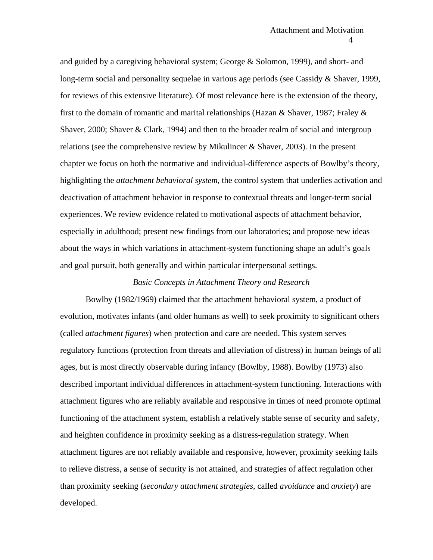and guided by a caregiving behavioral system; George & Solomon, 1999), and short- and long-term social and personality sequelae in various age periods (see Cassidy & Shaver, 1999, for reviews of this extensive literature). Of most relevance here is the extension of the theory, first to the domain of romantic and marital relationships (Hazan & Shaver, 1987; Fraley & Shaver, 2000; Shaver & Clark, 1994) and then to the broader realm of social and intergroup relations (see the comprehensive review by Mikulincer & Shaver, 2003). In the present chapter we focus on both the normative and individual-difference aspects of Bowlby's theory, highlighting the *attachment behavioral system*, the control system that underlies activation and deactivation of attachment behavior in response to contextual threats and longer-term social experiences. We review evidence related to motivational aspects of attachment behavior, especially in adulthood; present new findings from our laboratories; and propose new ideas about the ways in which variations in attachment-system functioning shape an adult's goals and goal pursuit, both generally and within particular interpersonal settings.

# *Basic Concepts in Attachment Theory and Research*

Bowlby (1982/1969) claimed that the attachment behavioral system, a product of evolution, motivates infants (and older humans as well) to seek proximity to significant others (called *attachment figures*) when protection and care are needed. This system serves regulatory functions (protection from threats and alleviation of distress) in human beings of all ages, but is most directly observable during infancy (Bowlby, 1988). Bowlby (1973) also described important individual differences in attachment-system functioning. Interactions with attachment figures who are reliably available and responsive in times of need promote optimal functioning of the attachment system, establish a relatively stable sense of security and safety, and heighten confidence in proximity seeking as a distress-regulation strategy. When attachment figures are not reliably available and responsive, however, proximity seeking fails to relieve distress, a sense of security is not attained, and strategies of affect regulation other than proximity seeking (*secondary attachment strategies*, called *avoidance* and *anxiety*) are developed.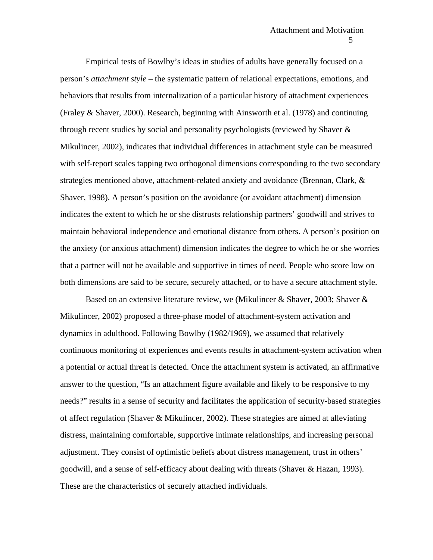Empirical tests of Bowlby's ideas in studies of adults have generally focused on a person's *attachment style* – the systematic pattern of relational expectations, emotions, and behaviors that results from internalization of a particular history of attachment experiences (Fraley & Shaver, 2000). Research, beginning with Ainsworth et al. (1978) and continuing through recent studies by social and personality psychologists (reviewed by Shaver & Mikulincer, 2002), indicates that individual differences in attachment style can be measured with self-report scales tapping two orthogonal dimensions corresponding to the two secondary strategies mentioned above, attachment-related anxiety and avoidance (Brennan, Clark, & Shaver, 1998). A person's position on the avoidance (or avoidant attachment) dimension indicates the extent to which he or she distrusts relationship partners' goodwill and strives to maintain behavioral independence and emotional distance from others. A person's position on the anxiety (or anxious attachment) dimension indicates the degree to which he or she worries that a partner will not be available and supportive in times of need. People who score low on both dimensions are said to be secure, securely attached, or to have a secure attachment style.

Based on an extensive literature review, we (Mikulincer & Shaver, 2003; Shaver & Mikulincer, 2002) proposed a three-phase model of attachment-system activation and dynamics in adulthood. Following Bowlby (1982/1969), we assumed that relatively continuous monitoring of experiences and events results in attachment-system activation when a potential or actual threat is detected. Once the attachment system is activated, an affirmative answer to the question, "Is an attachment figure available and likely to be responsive to my needs?" results in a sense of security and facilitates the application of security-based strategies of affect regulation (Shaver & Mikulincer, 2002). These strategies are aimed at alleviating distress, maintaining comfortable, supportive intimate relationships, and increasing personal adjustment. They consist of optimistic beliefs about distress management, trust in others' goodwill, and a sense of self-efficacy about dealing with threats (Shaver & Hazan, 1993). These are the characteristics of securely attached individuals.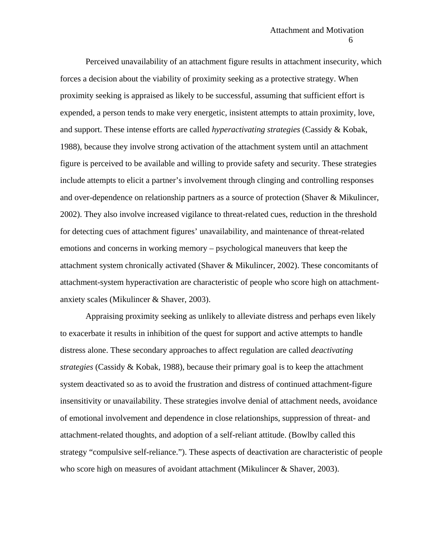Perceived unavailability of an attachment figure results in attachment insecurity, which forces a decision about the viability of proximity seeking as a protective strategy. When proximity seeking is appraised as likely to be successful, assuming that sufficient effort is expended, a person tends to make very energetic, insistent attempts to attain proximity, love, and support. These intense efforts are called *hyperactivating strategies* (Cassidy & Kobak, 1988), because they involve strong activation of the attachment system until an attachment figure is perceived to be available and willing to provide safety and security. These strategies include attempts to elicit a partner's involvement through clinging and controlling responses and over-dependence on relationship partners as a source of protection (Shaver & Mikulincer, 2002). They also involve increased vigilance to threat-related cues, reduction in the threshold for detecting cues of attachment figures' unavailability, and maintenance of threat-related emotions and concerns in working memory – psychological maneuvers that keep the attachment system chronically activated (Shaver & Mikulincer, 2002). These concomitants of attachment-system hyperactivation are characteristic of people who score high on attachmentanxiety scales (Mikulincer & Shaver, 2003).

Appraising proximity seeking as unlikely to alleviate distress and perhaps even likely to exacerbate it results in inhibition of the quest for support and active attempts to handle distress alone. These secondary approaches to affect regulation are called *deactivating strategies* (Cassidy & Kobak, 1988), because their primary goal is to keep the attachment system deactivated so as to avoid the frustration and distress of continued attachment-figure insensitivity or unavailability. These strategies involve denial of attachment needs, avoidance of emotional involvement and dependence in close relationships, suppression of threat- and attachment-related thoughts, and adoption of a self-reliant attitude. (Bowlby called this strategy "compulsive self-reliance."). These aspects of deactivation are characteristic of people who score high on measures of avoidant attachment (Mikulincer & Shaver, 2003).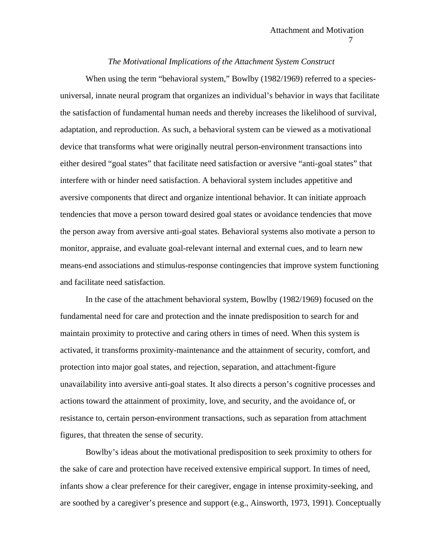## *The Motivational Implications of the Attachment System Construct*

When using the term "behavioral system," Bowlby (1982/1969) referred to a speciesuniversal, innate neural program that organizes an individual's behavior in ways that facilitate the satisfaction of fundamental human needs and thereby increases the likelihood of survival, adaptation, and reproduction. As such, a behavioral system can be viewed as a motivational device that transforms what were originally neutral person-environment transactions into either desired "goal states" that facilitate need satisfaction or aversive "anti-goal states" that interfere with or hinder need satisfaction. A behavioral system includes appetitive and aversive components that direct and organize intentional behavior. It can initiate approach tendencies that move a person toward desired goal states or avoidance tendencies that move the person away from aversive anti-goal states. Behavioral systems also motivate a person to monitor, appraise, and evaluate goal-relevant internal and external cues, and to learn new means-end associations and stimulus-response contingencies that improve system functioning and facilitate need satisfaction.

In the case of the attachment behavioral system, Bowlby (1982/1969) focused on the fundamental need for care and protection and the innate predisposition to search for and maintain proximity to protective and caring others in times of need. When this system is activated, it transforms proximity-maintenance and the attainment of security, comfort, and protection into major goal states, and rejection, separation, and attachment-figure unavailability into aversive anti-goal states. It also directs a person's cognitive processes and actions toward the attainment of proximity, love, and security, and the avoidance of, or resistance to, certain person-environment transactions, such as separation from attachment figures, that threaten the sense of security.

Bowlby's ideas about the motivational predisposition to seek proximity to others for the sake of care and protection have received extensive empirical support. In times of need, infants show a clear preference for their caregiver, engage in intense proximity-seeking, and are soothed by a caregiver's presence and support (e.g., Ainsworth, 1973, 1991). Conceptually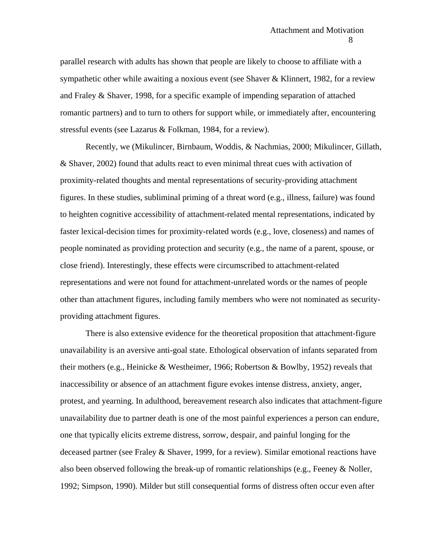parallel research with adults has shown that people are likely to choose to affiliate with a sympathetic other while awaiting a noxious event (see Shaver & Klinnert, 1982, for a review and Fraley & Shaver, 1998, for a specific example of impending separation of attached romantic partners) and to turn to others for support while, or immediately after, encountering stressful events (see Lazarus & Folkman, 1984, for a review).

Recently, we (Mikulincer, Birnbaum, Woddis, & Nachmias, 2000; Mikulincer, Gillath, & Shaver, 2002) found that adults react to even minimal threat cues with activation of proximity-related thoughts and mental representations of security-providing attachment figures. In these studies, subliminal priming of a threat word (e.g., illness, failure) was found to heighten cognitive accessibility of attachment-related mental representations, indicated by faster lexical-decision times for proximity-related words (e.g., love, closeness) and names of people nominated as providing protection and security (e.g., the name of a parent, spouse, or close friend). Interestingly, these effects were circumscribed to attachment-related representations and were not found for attachment-unrelated words or the names of people other than attachment figures, including family members who were not nominated as securityproviding attachment figures.

There is also extensive evidence for the theoretical proposition that attachment-figure unavailability is an aversive anti-goal state. Ethological observation of infants separated from their mothers (e.g., Heinicke & Westheimer, 1966; Robertson & Bowlby, 1952) reveals that inaccessibility or absence of an attachment figure evokes intense distress, anxiety, anger, protest, and yearning. In adulthood, bereavement research also indicates that attachment-figure unavailability due to partner death is one of the most painful experiences a person can endure, one that typically elicits extreme distress, sorrow, despair, and painful longing for the deceased partner (see Fraley & Shaver, 1999, for a review). Similar emotional reactions have also been observed following the break-up of romantic relationships (e.g., Feeney & Noller, 1992; Simpson, 1990). Milder but still consequential forms of distress often occur even after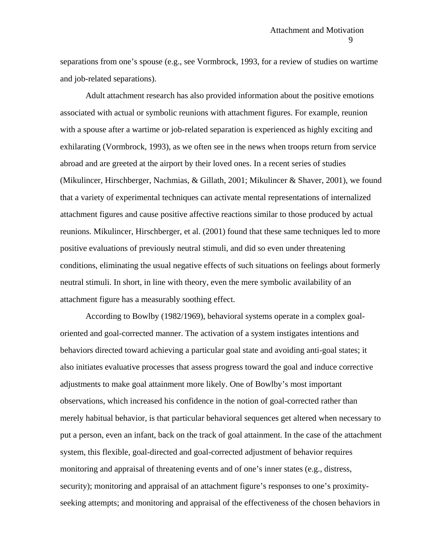separations from one's spouse (e.g., see Vormbrock, 1993, for a review of studies on wartime and job-related separations).

Adult attachment research has also provided information about the positive emotions associated with actual or symbolic reunions with attachment figures. For example, reunion with a spouse after a wartime or job-related separation is experienced as highly exciting and exhilarating (Vormbrock, 1993), as we often see in the news when troops return from service abroad and are greeted at the airport by their loved ones. In a recent series of studies (Mikulincer, Hirschberger, Nachmias, & Gillath, 2001; Mikulincer & Shaver, 2001), we found that a variety of experimental techniques can activate mental representations of internalized attachment figures and cause positive affective reactions similar to those produced by actual reunions. Mikulincer, Hirschberger, et al. (2001) found that these same techniques led to more positive evaluations of previously neutral stimuli, and did so even under threatening conditions, eliminating the usual negative effects of such situations on feelings about formerly neutral stimuli. In short, in line with theory, even the mere symbolic availability of an attachment figure has a measurably soothing effect.

According to Bowlby (1982/1969), behavioral systems operate in a complex goaloriented and goal-corrected manner. The activation of a system instigates intentions and behaviors directed toward achieving a particular goal state and avoiding anti-goal states; it also initiates evaluative processes that assess progress toward the goal and induce corrective adjustments to make goal attainment more likely. One of Bowlby's most important observations, which increased his confidence in the notion of goal-corrected rather than merely habitual behavior, is that particular behavioral sequences get altered when necessary to put a person, even an infant, back on the track of goal attainment. In the case of the attachment system, this flexible, goal-directed and goal-corrected adjustment of behavior requires monitoring and appraisal of threatening events and of one's inner states (e.g., distress, security); monitoring and appraisal of an attachment figure's responses to one's proximityseeking attempts; and monitoring and appraisal of the effectiveness of the chosen behaviors in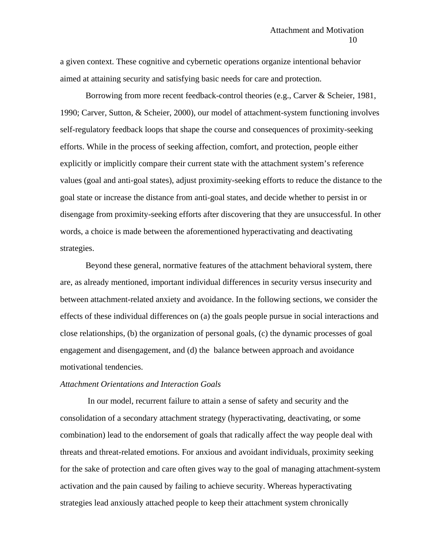a given context. These cognitive and cybernetic operations organize intentional behavior aimed at attaining security and satisfying basic needs for care and protection.

Borrowing from more recent feedback-control theories (e.g., Carver & Scheier, 1981, 1990; Carver, Sutton, & Scheier, 2000), our model of attachment-system functioning involves self-regulatory feedback loops that shape the course and consequences of proximity-seeking efforts. While in the process of seeking affection, comfort, and protection, people either explicitly or implicitly compare their current state with the attachment system's reference values (goal and anti-goal states), adjust proximity-seeking efforts to reduce the distance to the goal state or increase the distance from anti-goal states, and decide whether to persist in or disengage from proximity-seeking efforts after discovering that they are unsuccessful. In other words, a choice is made between the aforementioned hyperactivating and deactivating strategies.

Beyond these general, normative features of the attachment behavioral system, there are, as already mentioned, important individual differences in security versus insecurity and between attachment-related anxiety and avoidance. In the following sections, we consider the effects of these individual differences on (a) the goals people pursue in social interactions and close relationships, (b) the organization of personal goals, (c) the dynamic processes of goal engagement and disengagement, and (d) the balance between approach and avoidance motivational tendencies.

#### *Attachment Orientations and Interaction Goals*

 In our model, recurrent failure to attain a sense of safety and security and the consolidation of a secondary attachment strategy (hyperactivating, deactivating, or some combination) lead to the endorsement of goals that radically affect the way people deal with threats and threat-related emotions. For anxious and avoidant individuals, proximity seeking for the sake of protection and care often gives way to the goal of managing attachment-system activation and the pain caused by failing to achieve security. Whereas hyperactivating strategies lead anxiously attached people to keep their attachment system chronically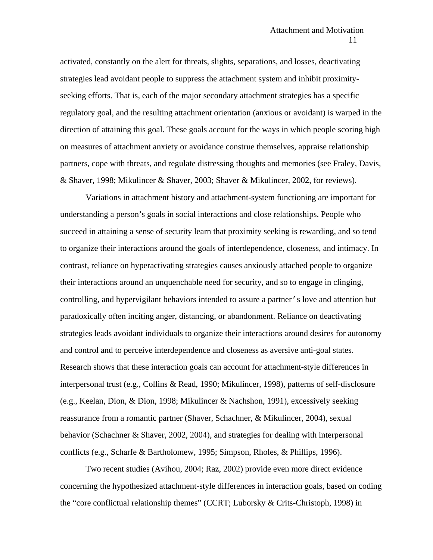activated, constantly on the alert for threats, slights, separations, and losses, deactivating strategies lead avoidant people to suppress the attachment system and inhibit proximityseeking efforts. That is, each of the major secondary attachment strategies has a specific regulatory goal, and the resulting attachment orientation (anxious or avoidant) is warped in the direction of attaining this goal. These goals account for the ways in which people scoring high on measures of attachment anxiety or avoidance construe themselves, appraise relationship partners, cope with threats, and regulate distressing thoughts and memories (see Fraley, Davis, & Shaver, 1998; Mikulincer & Shaver, 2003; Shaver & Mikulincer, 2002, for reviews).

Variations in attachment history and attachment-system functioning are important for understanding a person's goals in social interactions and close relationships. People who succeed in attaining a sense of security learn that proximity seeking is rewarding, and so tend to organize their interactions around the goals of interdependence, closeness, and intimacy. In contrast, reliance on hyperactivating strategies causes anxiously attached people to organize their interactions around an unquenchable need for security, and so to engage in clinging, controlling, and hypervigilant behaviors intended to assure a partner's love and attention but paradoxically often inciting anger, distancing, or abandonment. Reliance on deactivating strategies leads avoidant individuals to organize their interactions around desires for autonomy and control and to perceive interdependence and closeness as aversive anti-goal states. Research shows that these interaction goals can account for attachment-style differences in interpersonal trust (e.g., Collins & Read, 1990; Mikulincer, 1998), patterns of self-disclosure (e.g., Keelan, Dion, & Dion, 1998; Mikulincer & Nachshon, 1991), excessively seeking reassurance from a romantic partner (Shaver, Schachner, & Mikulincer, 2004), sexual behavior (Schachner & Shaver, 2002, 2004), and strategies for dealing with interpersonal conflicts (e.g., Scharfe & Bartholomew, 1995; Simpson, Rholes, & Phillips, 1996).

Two recent studies (Avihou, 2004; Raz, 2002) provide even more direct evidence concerning the hypothesized attachment-style differences in interaction goals, based on coding the "core conflictual relationship themes" (CCRT; Luborsky & Crits-Christoph, 1998) in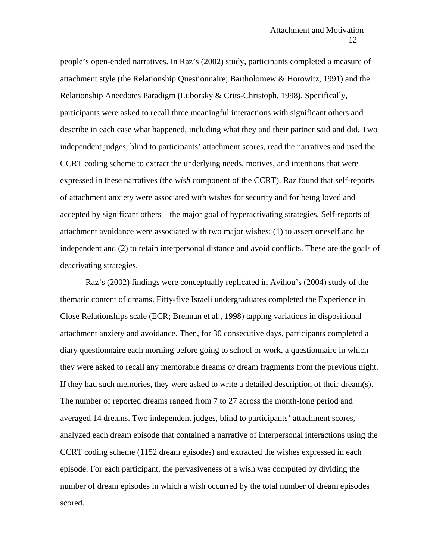people's open-ended narratives. In Raz's (2002) study, participants completed a measure of attachment style (the Relationship Questionnaire; Bartholomew & Horowitz, 1991) and the Relationship Anecdotes Paradigm (Luborsky & Crits-Christoph, 1998). Specifically, participants were asked to recall three meaningful interactions with significant others and describe in each case what happened, including what they and their partner said and did. Two independent judges, blind to participants' attachment scores, read the narratives and used the CCRT coding scheme to extract the underlying needs, motives, and intentions that were expressed in these narratives (the *wish* component of the CCRT). Raz found that self-reports of attachment anxiety were associated with wishes for security and for being loved and accepted by significant others – the major goal of hyperactivating strategies. Self-reports of attachment avoidance were associated with two major wishes: (1) to assert oneself and be independent and (2) to retain interpersonal distance and avoid conflicts. These are the goals of deactivating strategies.

Raz's (2002) findings were conceptually replicated in Avihou's (2004) study of the thematic content of dreams. Fifty-five Israeli undergraduates completed the Experience in Close Relationships scale (ECR; Brennan et al., 1998) tapping variations in dispositional attachment anxiety and avoidance. Then, for 30 consecutive days, participants completed a diary questionnaire each morning before going to school or work, a questionnaire in which they were asked to recall any memorable dreams or dream fragments from the previous night. If they had such memories, they were asked to write a detailed description of their dream(s). The number of reported dreams ranged from 7 to 27 across the month-long period and averaged 14 dreams. Two independent judges, blind to participants' attachment scores, analyzed each dream episode that contained a narrative of interpersonal interactions using the CCRT coding scheme (1152 dream episodes) and extracted the wishes expressed in each episode. For each participant, the pervasiveness of a wish was computed by dividing the number of dream episodes in which a wish occurred by the total number of dream episodes scored.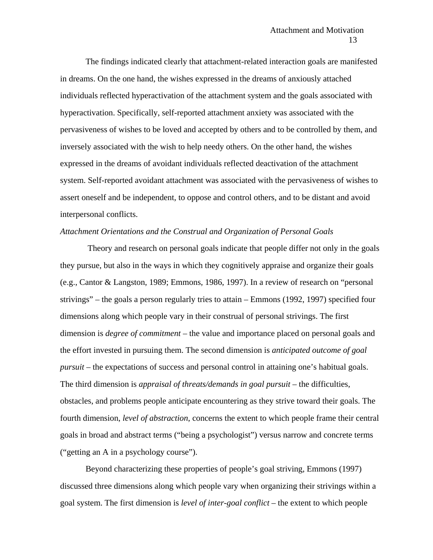The findings indicated clearly that attachment-related interaction goals are manifested in dreams. On the one hand, the wishes expressed in the dreams of anxiously attached individuals reflected hyperactivation of the attachment system and the goals associated with hyperactivation. Specifically, self-reported attachment anxiety was associated with the pervasiveness of wishes to be loved and accepted by others and to be controlled by them, and inversely associated with the wish to help needy others. On the other hand, the wishes expressed in the dreams of avoidant individuals reflected deactivation of the attachment system. Self-reported avoidant attachment was associated with the pervasiveness of wishes to assert oneself and be independent, to oppose and control others, and to be distant and avoid interpersonal conflicts.

# *Attachment Orientations and the Construal and Organization of Personal Goals*

 Theory and research on personal goals indicate that people differ not only in the goals they pursue, but also in the ways in which they cognitively appraise and organize their goals (e.g., Cantor & Langston, 1989; Emmons, 1986, 1997). In a review of research on "personal strivings" – the goals a person regularly tries to attain – Emmons (1992, 1997) specified four dimensions along which people vary in their construal of personal strivings. The first dimension is *degree of commitment* – the value and importance placed on personal goals and the effort invested in pursuing them. The second dimension is *anticipated outcome of goal pursuit* – the expectations of success and personal control in attaining one's habitual goals. The third dimension is *appraisal of threats/demands in goal pursuit* – the difficulties, obstacles, and problems people anticipate encountering as they strive toward their goals. The fourth dimension, *level of abstraction*, concerns the extent to which people frame their central goals in broad and abstract terms ("being a psychologist") versus narrow and concrete terms ("getting an A in a psychology course").

Beyond characterizing these properties of people's goal striving, Emmons (1997) discussed three dimensions along which people vary when organizing their strivings within a goal system. The first dimension is *level of inter-goal conflict* – the extent to which people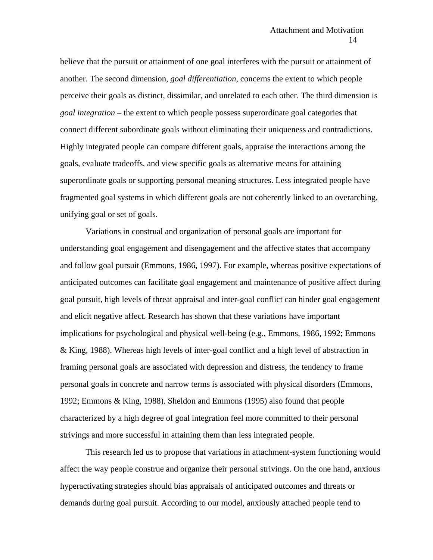believe that the pursuit or attainment of one goal interferes with the pursuit or attainment of another. The second dimension, *goal differentiation*, concerns the extent to which people perceive their goals as distinct, dissimilar, and unrelated to each other. The third dimension is *goal integration* – the extent to which people possess superordinate goal categories that connect different subordinate goals without eliminating their uniqueness and contradictions. Highly integrated people can compare different goals, appraise the interactions among the goals, evaluate tradeoffs, and view specific goals as alternative means for attaining superordinate goals or supporting personal meaning structures. Less integrated people have fragmented goal systems in which different goals are not coherently linked to an overarching, unifying goal or set of goals.

Variations in construal and organization of personal goals are important for understanding goal engagement and disengagement and the affective states that accompany and follow goal pursuit (Emmons, 1986, 1997). For example, whereas positive expectations of anticipated outcomes can facilitate goal engagement and maintenance of positive affect during goal pursuit, high levels of threat appraisal and inter-goal conflict can hinder goal engagement and elicit negative affect. Research has shown that these variations have important implications for psychological and physical well-being (e.g., Emmons, 1986, 1992; Emmons & King, 1988). Whereas high levels of inter-goal conflict and a high level of abstraction in framing personal goals are associated with depression and distress, the tendency to frame personal goals in concrete and narrow terms is associated with physical disorders (Emmons, 1992; Emmons & King, 1988). Sheldon and Emmons (1995) also found that people characterized by a high degree of goal integration feel more committed to their personal strivings and more successful in attaining them than less integrated people.

This research led us to propose that variations in attachment-system functioning would affect the way people construe and organize their personal strivings. On the one hand, anxious hyperactivating strategies should bias appraisals of anticipated outcomes and threats or demands during goal pursuit. According to our model, anxiously attached people tend to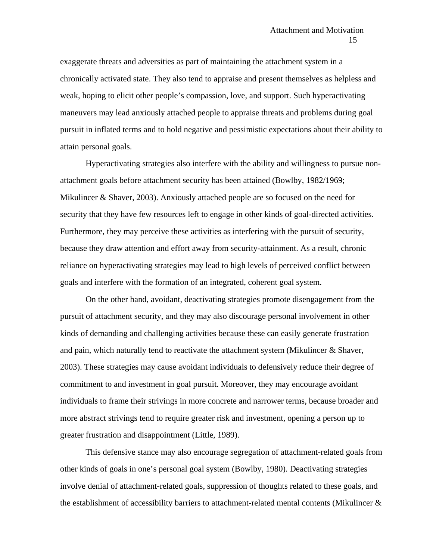exaggerate threats and adversities as part of maintaining the attachment system in a chronically activated state. They also tend to appraise and present themselves as helpless and weak, hoping to elicit other people's compassion, love, and support. Such hyperactivating maneuvers may lead anxiously attached people to appraise threats and problems during goal pursuit in inflated terms and to hold negative and pessimistic expectations about their ability to attain personal goals.

Hyperactivating strategies also interfere with the ability and willingness to pursue nonattachment goals before attachment security has been attained (Bowlby, 1982/1969; Mikulincer & Shaver, 2003). Anxiously attached people are so focused on the need for security that they have few resources left to engage in other kinds of goal-directed activities. Furthermore, they may perceive these activities as interfering with the pursuit of security, because they draw attention and effort away from security-attainment. As a result, chronic reliance on hyperactivating strategies may lead to high levels of perceived conflict between goals and interfere with the formation of an integrated, coherent goal system.

On the other hand, avoidant, deactivating strategies promote disengagement from the pursuit of attachment security, and they may also discourage personal involvement in other kinds of demanding and challenging activities because these can easily generate frustration and pain, which naturally tend to reactivate the attachment system (Mikulincer & Shaver, 2003). These strategies may cause avoidant individuals to defensively reduce their degree of commitment to and investment in goal pursuit. Moreover, they may encourage avoidant individuals to frame their strivings in more concrete and narrower terms, because broader and more abstract strivings tend to require greater risk and investment, opening a person up to greater frustration and disappointment (Little, 1989).

This defensive stance may also encourage segregation of attachment-related goals from other kinds of goals in one's personal goal system (Bowlby, 1980). Deactivating strategies involve denial of attachment-related goals, suppression of thoughts related to these goals, and the establishment of accessibility barriers to attachment-related mental contents (Mikulincer &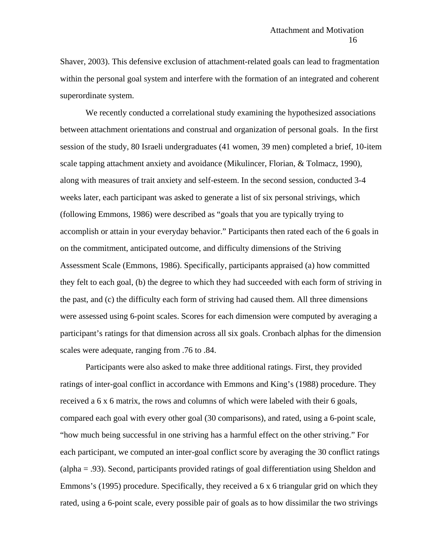Shaver, 2003). This defensive exclusion of attachment-related goals can lead to fragmentation within the personal goal system and interfere with the formation of an integrated and coherent superordinate system.

We recently conducted a correlational study examining the hypothesized associations between attachment orientations and construal and organization of personal goals. In the first session of the study, 80 Israeli undergraduates (41 women, 39 men) completed a brief, 10-item scale tapping attachment anxiety and avoidance (Mikulincer, Florian, & Tolmacz, 1990), along with measures of trait anxiety and self-esteem. In the second session, conducted 3-4 weeks later, each participant was asked to generate a list of six personal strivings, which (following Emmons, 1986) were described as "goals that you are typically trying to accomplish or attain in your everyday behavior." Participants then rated each of the 6 goals in on the commitment, anticipated outcome, and difficulty dimensions of the Striving Assessment Scale (Emmons, 1986). Specifically, participants appraised (a) how committed they felt to each goal, (b) the degree to which they had succeeded with each form of striving in the past, and (c) the difficulty each form of striving had caused them. All three dimensions were assessed using 6-point scales. Scores for each dimension were computed by averaging a participant's ratings for that dimension across all six goals. Cronbach alphas for the dimension scales were adequate, ranging from .76 to .84.

Participants were also asked to make three additional ratings. First, they provided ratings of inter-goal conflict in accordance with Emmons and King's (1988) procedure. They received a 6 x 6 matrix, the rows and columns of which were labeled with their 6 goals, compared each goal with every other goal (30 comparisons), and rated, using a 6-point scale, "how much being successful in one striving has a harmful effect on the other striving." For each participant, we computed an inter-goal conflict score by averaging the 30 conflict ratings (alpha = .93). Second, participants provided ratings of goal differentiation using Sheldon and Emmons's (1995) procedure. Specifically, they received a 6 x 6 triangular grid on which they rated, using a 6-point scale, every possible pair of goals as to how dissimilar the two strivings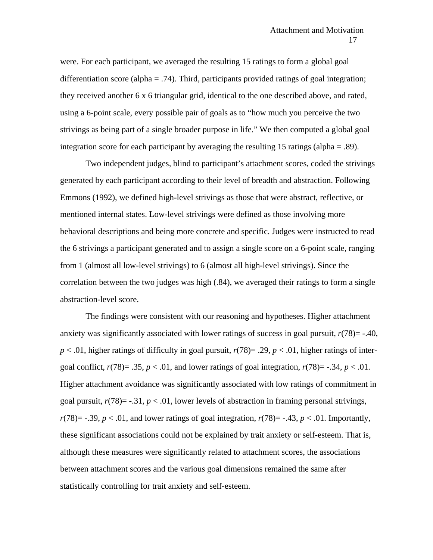were. For each participant, we averaged the resulting 15 ratings to form a global goal differentiation score (alpha = .74). Third, participants provided ratings of goal integration; they received another 6 x 6 triangular grid, identical to the one described above, and rated, using a 6-point scale, every possible pair of goals as to "how much you perceive the two strivings as being part of a single broader purpose in life." We then computed a global goal integration score for each participant by averaging the resulting 15 ratings (alpha = .89).

Two independent judges, blind to participant's attachment scores, coded the strivings generated by each participant according to their level of breadth and abstraction. Following Emmons (1992), we defined high-level strivings as those that were abstract, reflective, or mentioned internal states. Low-level strivings were defined as those involving more behavioral descriptions and being more concrete and specific. Judges were instructed to read the 6 strivings a participant generated and to assign a single score on a 6-point scale, ranging from 1 (almost all low-level strivings) to 6 (almost all high-level strivings). Since the correlation between the two judges was high (.84), we averaged their ratings to form a single abstraction-level score.

The findings were consistent with our reasoning and hypotheses. Higher attachment anxiety was significantly associated with lower ratings of success in goal pursuit,  $r(78) = -0.40$ ,  $p < .01$ , higher ratings of difficulty in goal pursuit,  $r(78) = .29$ ,  $p < .01$ , higher ratings of intergoal conflict,  $r(78) = .35$ ,  $p < .01$ , and lower ratings of goal integration,  $r(78) = -.34$ ,  $p < .01$ . Higher attachment avoidance was significantly associated with low ratings of commitment in goal pursuit,  $r(78) = -0.31$ ,  $p < 0.01$ , lower levels of abstraction in framing personal strivings,  $r(78) = -.39, p < .01$ , and lower ratings of goal integration,  $r(78) = -.43, p < .01$ . Importantly, these significant associations could not be explained by trait anxiety or self-esteem. That is, although these measures were significantly related to attachment scores, the associations between attachment scores and the various goal dimensions remained the same after statistically controlling for trait anxiety and self-esteem.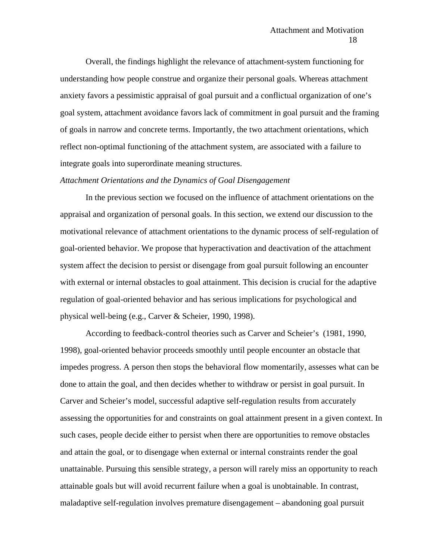Overall, the findings highlight the relevance of attachment-system functioning for understanding how people construe and organize their personal goals. Whereas attachment anxiety favors a pessimistic appraisal of goal pursuit and a conflictual organization of one's goal system, attachment avoidance favors lack of commitment in goal pursuit and the framing of goals in narrow and concrete terms. Importantly, the two attachment orientations, which reflect non-optimal functioning of the attachment system, are associated with a failure to integrate goals into superordinate meaning structures.

#### *Attachment Orientations and the Dynamics of Goal Disengagement*

In the previous section we focused on the influence of attachment orientations on the appraisal and organization of personal goals. In this section, we extend our discussion to the motivational relevance of attachment orientations to the dynamic process of self-regulation of goal-oriented behavior. We propose that hyperactivation and deactivation of the attachment system affect the decision to persist or disengage from goal pursuit following an encounter with external or internal obstacles to goal attainment. This decision is crucial for the adaptive regulation of goal-oriented behavior and has serious implications for psychological and physical well-being (e.g., Carver & Scheier, 1990, 1998).

According to feedback-control theories such as Carver and Scheier's (1981, 1990, 1998), goal-oriented behavior proceeds smoothly until people encounter an obstacle that impedes progress. A person then stops the behavioral flow momentarily, assesses what can be done to attain the goal, and then decides whether to withdraw or persist in goal pursuit. In Carver and Scheier's model, successful adaptive self-regulation results from accurately assessing the opportunities for and constraints on goal attainment present in a given context. In such cases, people decide either to persist when there are opportunities to remove obstacles and attain the goal, or to disengage when external or internal constraints render the goal unattainable. Pursuing this sensible strategy, a person will rarely miss an opportunity to reach attainable goals but will avoid recurrent failure when a goal is unobtainable. In contrast, maladaptive self-regulation involves premature disengagement – abandoning goal pursuit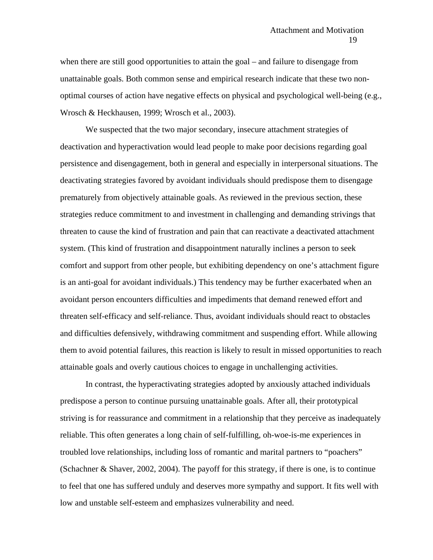when there are still good opportunities to attain the goal – and failure to disengage from unattainable goals. Both common sense and empirical research indicate that these two nonoptimal courses of action have negative effects on physical and psychological well-being (e.g., Wrosch & Heckhausen, 1999; Wrosch et al., 2003).

We suspected that the two major secondary, insecure attachment strategies of deactivation and hyperactivation would lead people to make poor decisions regarding goal persistence and disengagement, both in general and especially in interpersonal situations. The deactivating strategies favored by avoidant individuals should predispose them to disengage prematurely from objectively attainable goals. As reviewed in the previous section, these strategies reduce commitment to and investment in challenging and demanding strivings that threaten to cause the kind of frustration and pain that can reactivate a deactivated attachment system. (This kind of frustration and disappointment naturally inclines a person to seek comfort and support from other people, but exhibiting dependency on one's attachment figure is an anti-goal for avoidant individuals.) This tendency may be further exacerbated when an avoidant person encounters difficulties and impediments that demand renewed effort and threaten self-efficacy and self-reliance. Thus, avoidant individuals should react to obstacles and difficulties defensively, withdrawing commitment and suspending effort. While allowing them to avoid potential failures, this reaction is likely to result in missed opportunities to reach attainable goals and overly cautious choices to engage in unchallenging activities.

In contrast, the hyperactivating strategies adopted by anxiously attached individuals predispose a person to continue pursuing unattainable goals. After all, their prototypical striving is for reassurance and commitment in a relationship that they perceive as inadequately reliable. This often generates a long chain of self-fulfilling, oh-woe-is-me experiences in troubled love relationships, including loss of romantic and marital partners to "poachers" (Schachner & Shaver, 2002, 2004). The payoff for this strategy, if there is one, is to continue to feel that one has suffered unduly and deserves more sympathy and support. It fits well with low and unstable self-esteem and emphasizes vulnerability and need.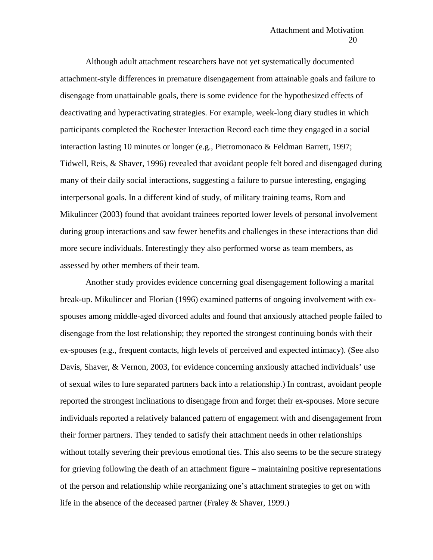# Attachment and Motivation 20

Although adult attachment researchers have not yet systematically documented attachment-style differences in premature disengagement from attainable goals and failure to disengage from unattainable goals, there is some evidence for the hypothesized effects of deactivating and hyperactivating strategies. For example, week-long diary studies in which participants completed the Rochester Interaction Record each time they engaged in a social interaction lasting 10 minutes or longer (e.g., Pietromonaco & Feldman Barrett, 1997; Tidwell, Reis, & Shaver, 1996) revealed that avoidant people felt bored and disengaged during many of their daily social interactions, suggesting a failure to pursue interesting, engaging interpersonal goals. In a different kind of study, of military training teams, Rom and Mikulincer (2003) found that avoidant trainees reported lower levels of personal involvement during group interactions and saw fewer benefits and challenges in these interactions than did more secure individuals. Interestingly they also performed worse as team members, as assessed by other members of their team.

Another study provides evidence concerning goal disengagement following a marital break-up. Mikulincer and Florian (1996) examined patterns of ongoing involvement with exspouses among middle-aged divorced adults and found that anxiously attached people failed to disengage from the lost relationship; they reported the strongest continuing bonds with their ex-spouses (e.g., frequent contacts, high levels of perceived and expected intimacy). (See also Davis, Shaver, & Vernon, 2003, for evidence concerning anxiously attached individuals' use of sexual wiles to lure separated partners back into a relationship.) In contrast, avoidant people reported the strongest inclinations to disengage from and forget their ex-spouses. More secure individuals reported a relatively balanced pattern of engagement with and disengagement from their former partners. They tended to satisfy their attachment needs in other relationships without totally severing their previous emotional ties. This also seems to be the secure strategy for grieving following the death of an attachment figure – maintaining positive representations of the person and relationship while reorganizing one's attachment strategies to get on with life in the absence of the deceased partner (Fraley & Shaver, 1999.)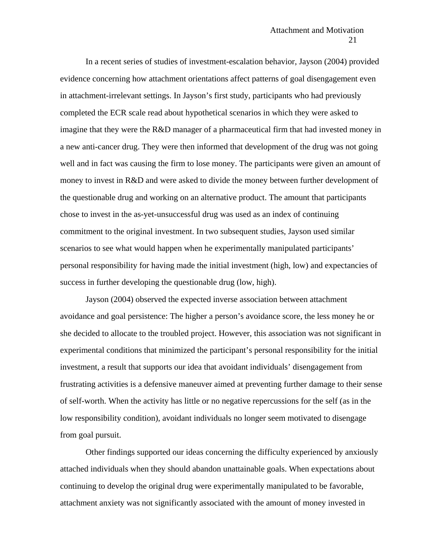In a recent series of studies of investment-escalation behavior, Jayson (2004) provided evidence concerning how attachment orientations affect patterns of goal disengagement even in attachment-irrelevant settings. In Jayson's first study, participants who had previously completed the ECR scale read about hypothetical scenarios in which they were asked to imagine that they were the R&D manager of a pharmaceutical firm that had invested money in a new anti-cancer drug. They were then informed that development of the drug was not going well and in fact was causing the firm to lose money. The participants were given an amount of money to invest in R&D and were asked to divide the money between further development of the questionable drug and working on an alternative product. The amount that participants chose to invest in the as-yet-unsuccessful drug was used as an index of continuing commitment to the original investment. In two subsequent studies, Jayson used similar scenarios to see what would happen when he experimentally manipulated participants' personal responsibility for having made the initial investment (high, low) and expectancies of success in further developing the questionable drug (low, high).

Jayson (2004) observed the expected inverse association between attachment avoidance and goal persistence: The higher a person's avoidance score, the less money he or she decided to allocate to the troubled project. However, this association was not significant in experimental conditions that minimized the participant's personal responsibility for the initial investment, a result that supports our idea that avoidant individuals' disengagement from frustrating activities is a defensive maneuver aimed at preventing further damage to their sense of self-worth. When the activity has little or no negative repercussions for the self (as in the low responsibility condition), avoidant individuals no longer seem motivated to disengage from goal pursuit.

Other findings supported our ideas concerning the difficulty experienced by anxiously attached individuals when they should abandon unattainable goals. When expectations about continuing to develop the original drug were experimentally manipulated to be favorable, attachment anxiety was not significantly associated with the amount of money invested in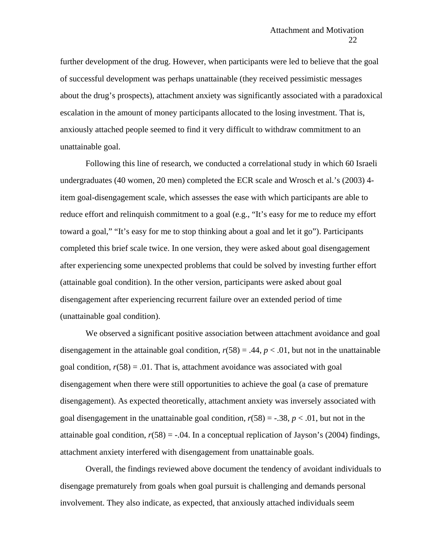further development of the drug. However, when participants were led to believe that the goal of successful development was perhaps unattainable (they received pessimistic messages about the drug's prospects), attachment anxiety was significantly associated with a paradoxical escalation in the amount of money participants allocated to the losing investment. That is, anxiously attached people seemed to find it very difficult to withdraw commitment to an unattainable goal.

Following this line of research, we conducted a correlational study in which 60 Israeli undergraduates (40 women, 20 men) completed the ECR scale and Wrosch et al.'s (2003) 4 item goal-disengagement scale, which assesses the ease with which participants are able to reduce effort and relinquish commitment to a goal (e.g., "It's easy for me to reduce my effort toward a goal," "It's easy for me to stop thinking about a goal and let it go"). Participants completed this brief scale twice. In one version, they were asked about goal disengagement after experiencing some unexpected problems that could be solved by investing further effort (attainable goal condition). In the other version, participants were asked about goal disengagement after experiencing recurrent failure over an extended period of time (unattainable goal condition).

We observed a significant positive association between attachment avoidance and goal disengagement in the attainable goal condition,  $r(58) = .44$ ,  $p < .01$ , but not in the unattainable goal condition,  $r(58) = .01$ . That is, attachment avoidance was associated with goal disengagement when there were still opportunities to achieve the goal (a case of premature disengagement). As expected theoretically, attachment anxiety was inversely associated with goal disengagement in the unattainable goal condition,  $r(58) = -.38$ ,  $p < .01$ , but not in the attainable goal condition,  $r(58) = -.04$ . In a conceptual replication of Jayson's (2004) findings, attachment anxiety interfered with disengagement from unattainable goals.

Overall, the findings reviewed above document the tendency of avoidant individuals to disengage prematurely from goals when goal pursuit is challenging and demands personal involvement. They also indicate, as expected, that anxiously attached individuals seem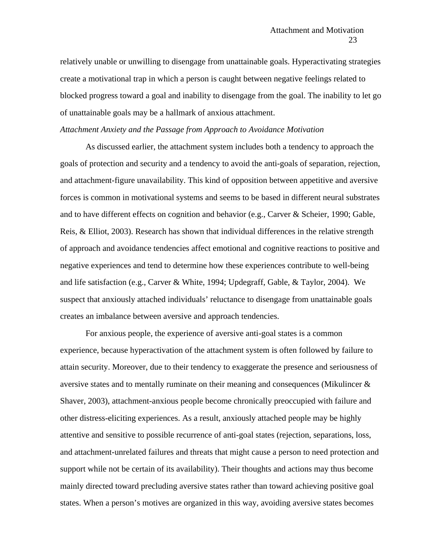relatively unable or unwilling to disengage from unattainable goals. Hyperactivating strategies create a motivational trap in which a person is caught between negative feelings related to blocked progress toward a goal and inability to disengage from the goal. The inability to let go of unattainable goals may be a hallmark of anxious attachment.

# *Attachment Anxiety and the Passage from Approach to Avoidance Motivation*

As discussed earlier, the attachment system includes both a tendency to approach the goals of protection and security and a tendency to avoid the anti-goals of separation, rejection, and attachment-figure unavailability. This kind of opposition between appetitive and aversive forces is common in motivational systems and seems to be based in different neural substrates and to have different effects on cognition and behavior (e.g., Carver & Scheier, 1990; Gable, Reis, & Elliot, 2003). Research has shown that individual differences in the relative strength of approach and avoidance tendencies affect emotional and cognitive reactions to positive and negative experiences and tend to determine how these experiences contribute to well-being and life satisfaction (e.g., Carver & White, 1994; Updegraff, Gable, & Taylor, 2004). We suspect that anxiously attached individuals' reluctance to disengage from unattainable goals creates an imbalance between aversive and approach tendencies.

For anxious people, the experience of aversive anti-goal states is a common experience, because hyperactivation of the attachment system is often followed by failure to attain security. Moreover, due to their tendency to exaggerate the presence and seriousness of aversive states and to mentally ruminate on their meaning and consequences (Mikulincer & Shaver, 2003), attachment-anxious people become chronically preoccupied with failure and other distress-eliciting experiences. As a result, anxiously attached people may be highly attentive and sensitive to possible recurrence of anti-goal states (rejection, separations, loss, and attachment-unrelated failures and threats that might cause a person to need protection and support while not be certain of its availability). Their thoughts and actions may thus become mainly directed toward precluding aversive states rather than toward achieving positive goal states. When a person's motives are organized in this way, avoiding aversive states becomes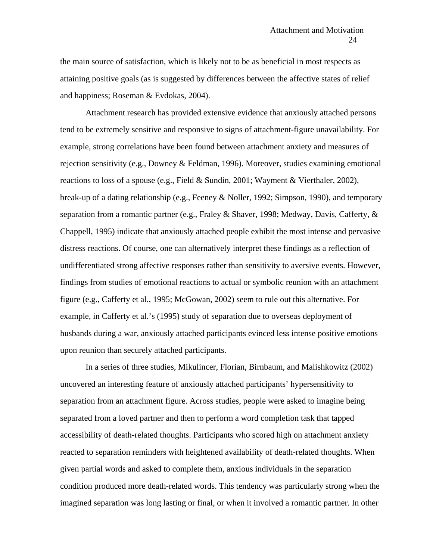the main source of satisfaction, which is likely not to be as beneficial in most respects as attaining positive goals (as is suggested by differences between the affective states of relief and happiness; Roseman & Evdokas, 2004).

Attachment research has provided extensive evidence that anxiously attached persons tend to be extremely sensitive and responsive to signs of attachment-figure unavailability. For example, strong correlations have been found between attachment anxiety and measures of rejection sensitivity (e.g., Downey & Feldman, 1996). Moreover, studies examining emotional reactions to loss of a spouse (e.g., Field & Sundin, 2001; Wayment & Vierthaler, 2002), break-up of a dating relationship (e.g., Feeney & Noller, 1992; Simpson, 1990), and temporary separation from a romantic partner (e.g., Fraley & Shaver, 1998; Medway, Davis, Cafferty, & Chappell, 1995) indicate that anxiously attached people exhibit the most intense and pervasive distress reactions. Of course, one can alternatively interpret these findings as a reflection of undifferentiated strong affective responses rather than sensitivity to aversive events. However, findings from studies of emotional reactions to actual or symbolic reunion with an attachment figure (e.g., Cafferty et al., 1995; McGowan, 2002) seem to rule out this alternative. For example, in Cafferty et al.'s (1995) study of separation due to overseas deployment of husbands during a war, anxiously attached participants evinced less intense positive emotions upon reunion than securely attached participants.

In a series of three studies, Mikulincer, Florian, Birnbaum, and Malishkowitz (2002) uncovered an interesting feature of anxiously attached participants' hypersensitivity to separation from an attachment figure. Across studies, people were asked to imagine being separated from a loved partner and then to perform a word completion task that tapped accessibility of death-related thoughts. Participants who scored high on attachment anxiety reacted to separation reminders with heightened availability of death-related thoughts. When given partial words and asked to complete them, anxious individuals in the separation condition produced more death-related words. This tendency was particularly strong when the imagined separation was long lasting or final, or when it involved a romantic partner. In other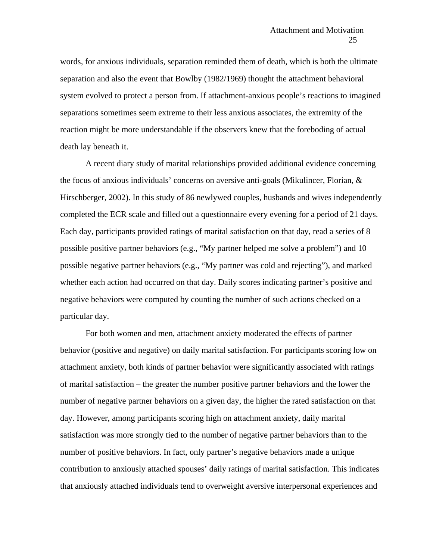words, for anxious individuals, separation reminded them of death, which is both the ultimate separation and also the event that Bowlby (1982/1969) thought the attachment behavioral system evolved to protect a person from. If attachment-anxious people's reactions to imagined separations sometimes seem extreme to their less anxious associates, the extremity of the reaction might be more understandable if the observers knew that the foreboding of actual death lay beneath it.

A recent diary study of marital relationships provided additional evidence concerning the focus of anxious individuals' concerns on aversive anti-goals (Mikulincer, Florian, & Hirschberger, 2002). In this study of 86 newlywed couples, husbands and wives independently completed the ECR scale and filled out a questionnaire every evening for a period of 21 days. Each day, participants provided ratings of marital satisfaction on that day, read a series of 8 possible positive partner behaviors (e.g., "My partner helped me solve a problem") and 10 possible negative partner behaviors (e.g., "My partner was cold and rejecting"), and marked whether each action had occurred on that day. Daily scores indicating partner's positive and negative behaviors were computed by counting the number of such actions checked on a particular day.

For both women and men, attachment anxiety moderated the effects of partner behavior (positive and negative) on daily marital satisfaction. For participants scoring low on attachment anxiety, both kinds of partner behavior were significantly associated with ratings of marital satisfaction – the greater the number positive partner behaviors and the lower the number of negative partner behaviors on a given day, the higher the rated satisfaction on that day. However, among participants scoring high on attachment anxiety, daily marital satisfaction was more strongly tied to the number of negative partner behaviors than to the number of positive behaviors. In fact, only partner's negative behaviors made a unique contribution to anxiously attached spouses' daily ratings of marital satisfaction. This indicates that anxiously attached individuals tend to overweight aversive interpersonal experiences and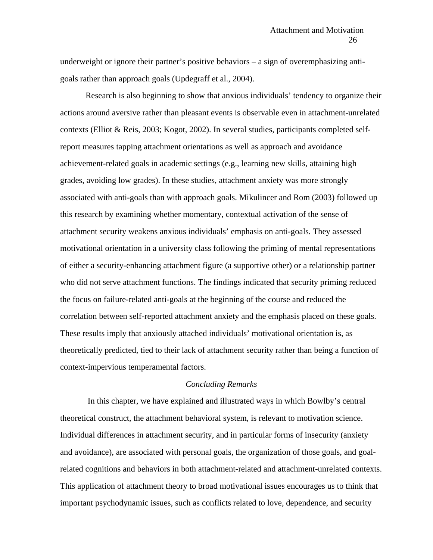underweight or ignore their partner's positive behaviors – a sign of overemphasizing antigoals rather than approach goals (Updegraff et al., 2004).

Research is also beginning to show that anxious individuals' tendency to organize their actions around aversive rather than pleasant events is observable even in attachment-unrelated contexts (Elliot & Reis, 2003; Kogot, 2002). In several studies, participants completed selfreport measures tapping attachment orientations as well as approach and avoidance achievement-related goals in academic settings (e.g., learning new skills, attaining high grades, avoiding low grades). In these studies, attachment anxiety was more strongly associated with anti-goals than with approach goals. Mikulincer and Rom (2003) followed up this research by examining whether momentary, contextual activation of the sense of attachment security weakens anxious individuals' emphasis on anti-goals. They assessed motivational orientation in a university class following the priming of mental representations of either a security-enhancing attachment figure (a supportive other) or a relationship partner who did not serve attachment functions. The findings indicated that security priming reduced the focus on failure-related anti-goals at the beginning of the course and reduced the correlation between self-reported attachment anxiety and the emphasis placed on these goals. These results imply that anxiously attached individuals' motivational orientation is, as theoretically predicted, tied to their lack of attachment security rather than being a function of context-impervious temperamental factors.

# *Concluding Remarks*

 In this chapter, we have explained and illustrated ways in which Bowlby's central theoretical construct, the attachment behavioral system, is relevant to motivation science. Individual differences in attachment security, and in particular forms of insecurity (anxiety and avoidance), are associated with personal goals, the organization of those goals, and goalrelated cognitions and behaviors in both attachment-related and attachment-unrelated contexts. This application of attachment theory to broad motivational issues encourages us to think that important psychodynamic issues, such as conflicts related to love, dependence, and security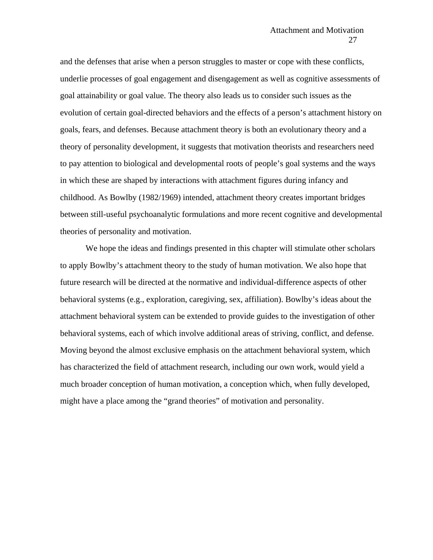and the defenses that arise when a person struggles to master or cope with these conflicts, underlie processes of goal engagement and disengagement as well as cognitive assessments of goal attainability or goal value. The theory also leads us to consider such issues as the evolution of certain goal-directed behaviors and the effects of a person's attachment history on goals, fears, and defenses. Because attachment theory is both an evolutionary theory and a theory of personality development, it suggests that motivation theorists and researchers need to pay attention to biological and developmental roots of people's goal systems and the ways in which these are shaped by interactions with attachment figures during infancy and childhood. As Bowlby (1982/1969) intended, attachment theory creates important bridges between still-useful psychoanalytic formulations and more recent cognitive and developmental theories of personality and motivation.

We hope the ideas and findings presented in this chapter will stimulate other scholars to apply Bowlby's attachment theory to the study of human motivation. We also hope that future research will be directed at the normative and individual-difference aspects of other behavioral systems (e.g., exploration, caregiving, sex, affiliation). Bowlby's ideas about the attachment behavioral system can be extended to provide guides to the investigation of other behavioral systems, each of which involve additional areas of striving, conflict, and defense. Moving beyond the almost exclusive emphasis on the attachment behavioral system, which has characterized the field of attachment research, including our own work, would yield a much broader conception of human motivation, a conception which, when fully developed, might have a place among the "grand theories" of motivation and personality.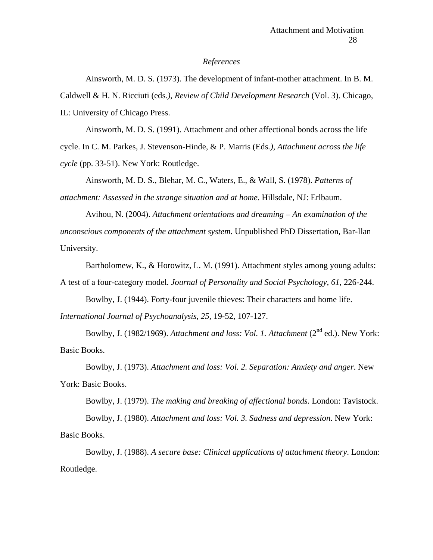#### *References*

Ainsworth, M. D. S. (1973). The development of infant-mother attachment. In B. M. Caldwell & H. N. Ricciuti (eds*.), Review of Child Development Research* (Vol. 3). Chicago, IL: University of Chicago Press.

Ainsworth, M. D. S. (1991). Attachment and other affectional bonds across the life cycle. In C. M. Parkes, J. Stevenson-Hinde, & P. Marris (Eds*.), Attachment across the life cycle* (pp. 33-51). New York: Routledge.

Ainsworth, M. D. S., Blehar, M. C., Waters, E., & Wall, S. (1978). *Patterns of attachment: Assessed in the strange situation and at home*. Hillsdale, NJ: Erlbaum.

Avihou, N. (2004). *Attachment orientations and dreaming – An examination of the unconscious components of the attachment system*. Unpublished PhD Dissertation, Bar-Ilan University.

Bartholomew, K., & Horowitz, L. M. (1991). Attachment styles among young adults:

A test of a four-category model*. Journal of Personality and Social Psychology, 61*, 226-244.

Bowlby, J. (1944). Forty-four juvenile thieves: Their characters and home life. *International Journal of Psychoanalysis, 25,* 19-52, 107-127.

Bowlby, J. (1982/1969). *Attachment and loss: Vol. 1. Attachment* (2<sup>nd</sup> ed.). New York: Basic Books.

Bowlby, J. (1973). *Attachment and loss: Vol. 2. Separation: Anxiety and anger*. New York: Basic Books.

Bowlby, J. (1979). *The making and breaking of affectional bonds*. London: Tavistock.

Bowlby, J. (1980). *Attachment and loss: Vol. 3. Sadness and depression*. New York:

Basic Books.

Bowlby, J. (1988). *A secure base: Clinical applications of attachment theory*. London: Routledge.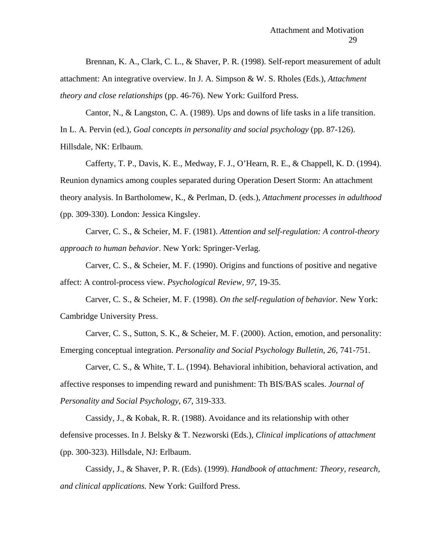Brennan, K. A., Clark, C. L., & Shaver, P. R. (1998). Self-report measurement of adult attachment: An integrative overview. In J. A. Simpson & W. S. Rholes (Eds.), *Attachment theory and close relationships* (pp. 46-76). New York: Guilford Press.

Cantor, N., & Langston, C. A. (1989). Ups and downs of life tasks in a life transition. In L. A. Pervin (ed.), *Goal concepts in personality and social psychology* (pp. 87-126). Hillsdale, NK: Erlbaum.

Cafferty, T. P., Davis, K. E., Medway, F. J., O'Hearn, R. E., & Chappell, K. D. (1994). Reunion dynamics among couples separated during Operation Desert Storm: An attachment theory analysis. In Bartholomew, K., & Perlman, D. (eds.), *Attachment processes in adulthood* (pp. 309-330). London: Jessica Kingsley.

Carver, C. S., & Scheier, M. F. (1981). *Attention and self-regulation: A control-theory approach to human behavior*. New York: Springer-Verlag.

Carver, C. S., & Scheier, M. F. (1990). Origins and functions of positive and negative affect: A control-process view. *Psychological Review, 97,* 19-35.

Carver, C. S., & Scheier, M. F. (1998). *On the self-regulation of behavior.* New York: Cambridge University Press.

Carver, C. S., Sutton, S. K., & Scheier, M. F. (2000). Action, emotion, and personality: Emerging conceptual integration. *Personality and Social Psychology Bulletin, 26*, 741-751.

Carver, C. S., & White, T. L. (1994). Behavioral inhibition, behavioral activation, and affective responses to impending reward and punishment: Th BIS/BAS scales. *Journal of Personality and Social Psychology, 67*, 319-333.

Cassidy, J., & Kobak, R. R. (1988). Avoidance and its relationship with other defensive processes. In J. Belsky & T. Nezworski (Eds.), *Clinical implications of attachment* (pp. 300-323). Hillsdale, NJ: Erlbaum.

Cassidy, J., & Shaver, P. R. (Eds). (1999). *Handbook of attachment: Theory, research, and clinical applications.* New York: Guilford Press.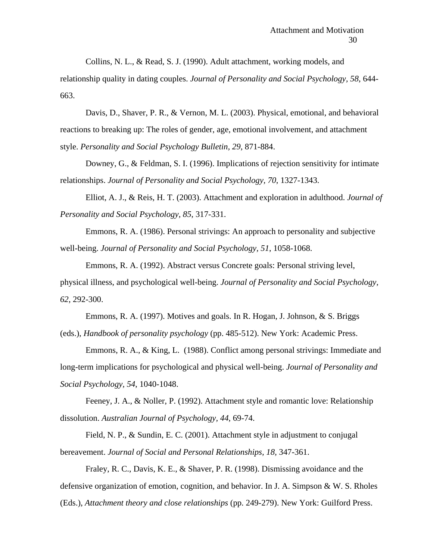Collins, N. L., & Read, S. J. (1990). Adult attachment, working models, and relationship quality in dating couples. *Journal of Personality and Social Psychology, 58*, 644- 663.

Davis, D., Shaver, P. R., & Vernon, M. L. (2003). Physical, emotional, and behavioral reactions to breaking up: The roles of gender, age, emotional involvement, and attachment style. *Personality and Social Psychology Bulletin, 29*, 871-884.

Downey, G., & Feldman, S. I. (1996). Implications of rejection sensitivity for intimate relationships. *Journal of Personality and Social Psychology, 70*, 1327-1343.

Elliot, A. J., & Reis, H. T. (2003). Attachment and exploration in adulthood. *Journal of Personality and Social Psychology, 85*, 317-331.

Emmons, R. A. (1986). Personal strivings: An approach to personality and subjective well-being. *Journal of Personality and Social Psychology, 51*, 1058-1068.

Emmons, R. A. (1992). Abstract versus Concrete goals: Personal striving level, physical illness, and psychological well-being. *Journal of Personality and Social Psychology, 62*, 292-300.

Emmons, R. A. (1997). Motives and goals. In R. Hogan, J. Johnson, & S. Briggs (eds.), *Handbook of personality psychology* (pp. 485-512). New York: Academic Press.

Emmons, R. A., & King, L. (1988). Conflict among personal strivings: Immediate and long-term implications for psychological and physical well-being. *Journal of Personality and Social Psychology, 54*, 1040-1048.

Feeney, J. A., & Noller, P. (1992). Attachment style and romantic love: Relationship dissolution. *Australian Journal of Psychology, 44*, 69-74.

Field, N. P., & Sundin, E. C. (2001). Attachment style in adjustment to conjugal bereavement. *Journal of Social and Personal Relationships, 18,* 347-361.

Fraley, R. C., Davis, K. E., & Shaver, P. R. (1998). Dismissing avoidance and the defensive organization of emotion, cognition, and behavior. In J. A. Simpson & W. S. Rholes (Eds.), *Attachment theory and close relationships* (pp. 249-279). New York: Guilford Press.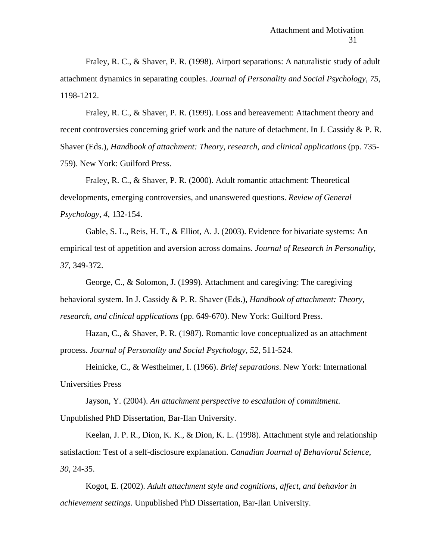Fraley, R. C., & Shaver, P. R. (1998). Airport separations: A naturalistic study of adult attachment dynamics in separating couples. *Journal of Personality and Social Psychology, 75*, 1198-1212.

Fraley, R. C., & Shaver, P. R. (1999). Loss and bereavement: Attachment theory and recent controversies concerning grief work and the nature of detachment. In J. Cassidy & P. R. Shaver (Eds.), *Handbook of attachment: Theory, research, and clinical applications* (pp. 735- 759). New York: Guilford Press.

Fraley, R. C., & Shaver, P. R. (2000). Adult romantic attachment: Theoretical developments, emerging controversies, and unanswered questions. *Review of General Psychology, 4*, 132-154.

Gable, S. L., Reis, H. T., & Elliot, A. J. (2003). Evidence for bivariate systems: An empirical test of appetition and aversion across domains. *Journal of Research in Personality, 37,* 349-372.

George, C., & Solomon, J. (1999). Attachment and caregiving: The caregiving behavioral system. In J. Cassidy & P. R. Shaver (Eds.), *Handbook of attachment: Theory, research, and clinical applications* (pp. 649-670). New York: Guilford Press.

Hazan, C., & Shaver, P. R. (1987). Romantic love conceptualized as an attachment process. *Journal of Personality and Social Psychology, 52*, 511-524.

Heinicke, C., & Westheimer, I. (1966). *Brief separations*. New York: International Universities Press

Jayson, Y. (2004). *An attachment perspective to escalation of commitment*. Unpublished PhD Dissertation, Bar-Ilan University.

Keelan, J. P. R., Dion, K. K., & Dion, K. L. (1998). Attachment style and relationship satisfaction: Test of a self-disclosure explanation. *Canadian Journal of Behavioral Science, 30,* 24-35.

Kogot, E. (2002). *Adult attachment style and cognitions, affect, and behavior in achievement settings*. Unpublished PhD Dissertation, Bar-Ilan University.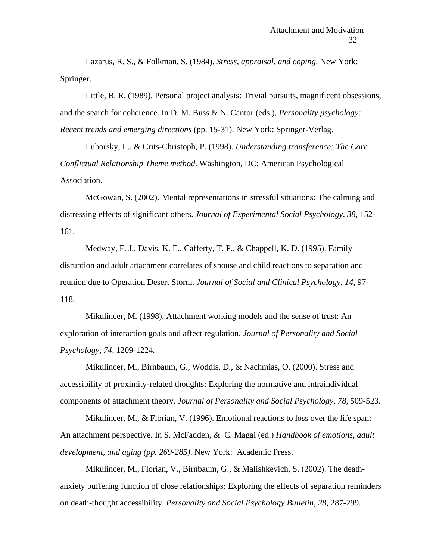Lazarus, R. S., & Folkman, S. (1984). *Stress, appraisal, and coping*. New York: Springer.

Little, B. R. (1989). Personal project analysis: Trivial pursuits, magnificent obsessions, and the search for coherence. In D. M. Buss & N. Cantor (eds.), *Personality psychology: Recent trends and emerging directions* (pp. 15-31). New York: Springer-Verlag.

Luborsky, L., & Crits-Christoph, P. (1998). *Understanding transference: The Core Conflictual Relationship Theme method*. Washington, DC: American Psychological Association.

McGowan, S. (2002). Mental representations in stressful situations: The calming and distressing effects of significant others. *Journal of Experimental Social Psychology, 38*, 152- 161.

Medway, F. J., Davis, K. E., Cafferty, T. P., & Chappell, K. D. (1995). Family disruption and adult attachment correlates of spouse and child reactions to separation and reunion due to Operation Desert Storm. *Journal of Social and Clinical Psychology, 14*, 97- 118.

Mikulincer, M. (1998). Attachment working models and the sense of trust: An exploration of interaction goals and affect regulation. *Journal of Personality and Social Psychology, 74,* 1209-1224*.* 

Mikulincer, M., Birnbaum, G., Woddis, D., & Nachmias, O. (2000). Stress and accessibility of proximity-related thoughts: Exploring the normative and intraindividual components of attachment theory. *Journal of Personality and Social Psychology, 78,* 509-523.

Mikulincer, M., & Florian, V. (1996). Emotional reactions to loss over the life span: An attachment perspective. In S. McFadden, & C. Magai (ed.) *Handbook of emotions, adult development, and aging (pp. 269-285)*. New York: Academic Press.

Mikulincer, M., Florian, V., Birnbaum, G., & Malishkevich, S. (2002). The deathanxiety buffering function of close relationships: Exploring the effects of separation reminders on death-thought accessibility. *Personality and Social Psychology Bulletin, 28*, 287-299.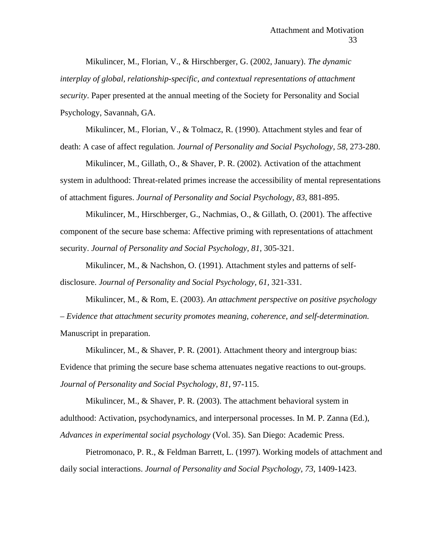Mikulincer, M., Florian, V., & Hirschberger, G. (2002, January). *The dynamic interplay of global, relationship-specific, and contextual representations of attachment security*. Paper presented at the annual meeting of the Society for Personality and Social Psychology, Savannah, GA.

Mikulincer, M., Florian, V., & Tolmacz, R. (1990). Attachment styles and fear of death: A case of affect regulation. *Journal of Personality and Social Psychology, 58*, 273-280.

Mikulincer, M., Gillath, O., & Shaver, P. R. (2002). Activation of the attachment system in adulthood: Threat-related primes increase the accessibility of mental representations of attachment figures. *Journal of Personality and Social Psychology, 83*, 881-895.

Mikulincer, M., Hirschberger, G., Nachmias, O., & Gillath, O. (2001). The affective component of the secure base schema: Affective priming with representations of attachment security. *Journal of Personality and Social Psychology, 81,* 305-321.

Mikulincer, M., & Nachshon, O. (1991). Attachment styles and patterns of selfdisclosure. *Journal of Personality and Social Psychology, 61,* 321-331.

Mikulincer, M., & Rom, E. (2003). *An attachment perspective on positive psychology – Evidence that attachment security promotes meaning, coherence, and self-determination.*  Manuscript in preparation.

Mikulincer, M., & Shaver, P. R. (2001). Attachment theory and intergroup bias: Evidence that priming the secure base schema attenuates negative reactions to out-groups. *Journal of Personality and Social Psychology, 81,* 97-115.

Mikulincer, M., & Shaver, P. R. (2003). The attachment behavioral system in adulthood: Activation, psychodynamics, and interpersonal processes. In M. P. Zanna (Ed.), *Advances in experimental social psychology* (Vol. 35). San Diego: Academic Press.

Pietromonaco, P. R., & Feldman Barrett, L. (1997). Working models of attachment and daily social interactions. *Journal of Personality and Social Psychology, 73*, 1409-1423.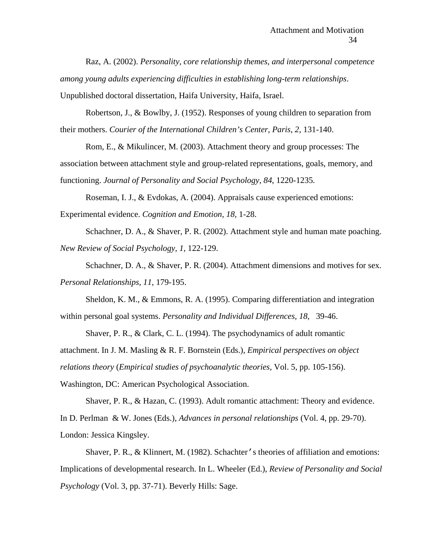Raz, A. (2002). *Personality, core relationship themes, and interpersonal competence among young adults experiencing difficulties in establishing long-term relationships*. Unpublished doctoral dissertation, Haifa University, Haifa, Israel.

Robertson, J., & Bowlby, J. (1952). Responses of young children to separation from their mothers. *Courier of the International Children's Center, Paris, 2,* 131-140.

Rom, E., & Mikulincer, M. (2003). Attachment theory and group processes: The association between attachment style and group-related representations, goals, memory, and functioning. *Journal of Personality and Social Psychology, 84*, 1220-1235*.*

Roseman, I. J., & Evdokas, A. (2004). Appraisals cause experienced emotions: Experimental evidence. *Cognition and Emotion, 18,* 1-28.

Schachner, D. A., & Shaver, P. R. (2002). Attachment style and human mate poaching. *New Review of Social Psychology, 1,* 122-129.

Schachner, D. A., & Shaver, P. R. (2004). Attachment dimensions and motives for sex. *Personal Relationships, 11,* 179-195.

Sheldon, K. M., & Emmons, R. A. (1995). Comparing differentiation and integration within personal goal systems. *Personality and Individual Differences, 18*, 39-46.

Shaver, P. R., & Clark, C. L. (1994). The psychodynamics of adult romantic

attachment. In J. M. Masling & R. F. Bornstein (Eds.), *Empirical perspectives on object* 

*relations theory* (*Empirical studies of psychoanalytic theories,* Vol. 5, pp. 105-156).

Washington, DC: American Psychological Association.

Shaver, P. R., & Hazan, C. (1993). Adult romantic attachment: Theory and evidence.

In D. Perlman & W. Jones (Eds.), *Advances in personal relationships* (Vol. 4, pp. 29-70).

London: Jessica Kingsley.

Shaver, P. R., & Klinnert, M. (1982). Schachter's theories of affiliation and emotions: Implications of developmental research. In L. Wheeler (Ed.), *Review of Personality and Social Psychology* (Vol. 3, pp. 37-71). Beverly Hills: Sage.